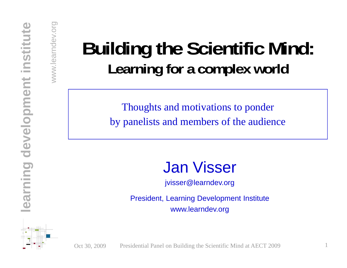## **Building the Scientific Mind:** Learning for a complex world

Thoughts and motivations to ponder by panelists and members of the audience

**ning de Visser (1898)**<br>
Fresident, Learning Developmer **lear** President, Learning Development Institute www.learndev.org

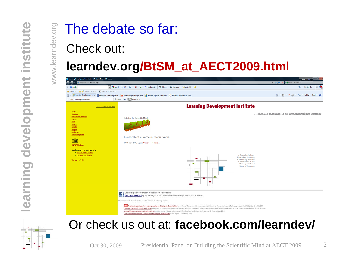# The debate so far:<br>Check out:

## www.learn **learndev.org/BtSM\_at\_AECT2009.html**





#### Or check us out at: **facebook.com/learndev/**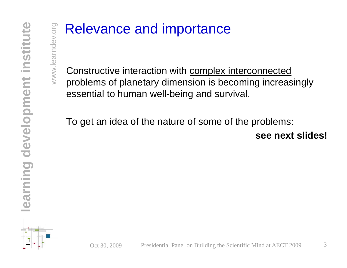#### Relevance and importance

 $\begin{array}{c}\n\overline{\mathbb{R}} \\
\hline\n\vdots \\
\hline\n\end{array}$  Constructive interaction with <u>complex interconnected</u><br>
<u>Examplems of planetary dimension</u> is becoming increasingly essential to human well-being and survival.

**develo**To get an idea of the nature of some of the problems: **see next slides!**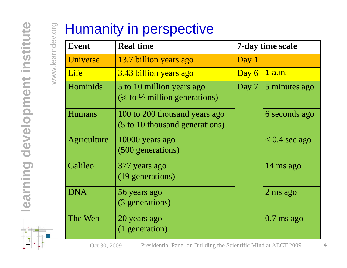| 13.7 billion years ago<br>3.43 billion years ago<br>5 to 10 million years ago | Day 1<br>Day 6<br>Day 7                              | <u>1 a.m.</u>       |
|-------------------------------------------------------------------------------|------------------------------------------------------|---------------------|
|                                                                               |                                                      |                     |
|                                                                               |                                                      |                     |
|                                                                               |                                                      | 5 minutes ago       |
| 100 to 200 thousand years ago<br>(5 to 10 thousand generations)               |                                                      | 6 seconds ago       |
| 10000 years ago<br>(500 generations)                                          |                                                      | $< 0.4$ sec ago     |
| 377 years ago<br>(19 generations)                                             |                                                      | 14 ms ago           |
| 56 years ago<br>(3 generations)                                               |                                                      | $2 \text{ ms }$ ago |
| 20 years ago<br>(1 generation)                                                |                                                      | $0.7$ ms ago        |
|                                                                               | $(1/4)$ to $1/2$ million generations)<br>Agriculture |                     |

Oct 30, 2009 Presidential Panel on Building the Scientific Mind at AECT 2009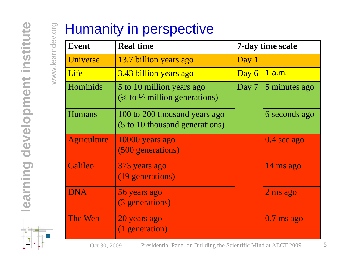| <b>Event</b>       | <b>Real time</b>                                                                  | 7-day time scale |                       |
|--------------------|-----------------------------------------------------------------------------------|------------------|-----------------------|
| Universe           | 13.7 billion years ago                                                            | Day 1            |                       |
| Life               | 3.43 billion years ago                                                            | Day 6            | <u>1 a.m.</u>         |
| Hominids           | 5 to 10 million years ago<br>$(\frac{1}{4}$ to $\frac{1}{2}$ million generations) | Day 7            | 5 minutes ago         |
| <b>Humans</b>      | 100 to 200 thousand years ago<br>(5 to 10 thousand generations)                   |                  | 6 seconds ago         |
| <b>Agriculture</b> | 10000 years ago<br>(500 generations)                                              |                  | $0.4 \text{ sec ago}$ |
| <b>Galileo</b>     | 373 years ago<br>(19 generations)                                                 |                  | 14 ms ago             |
| <b>DNA</b>         | 56 years ago<br>(3 generations)                                                   |                  | $2 \text{ ms }$ ago   |
| The Web            | 20 years ago<br>(1 generation)                                                    |                  | $0.7$ ms ago          |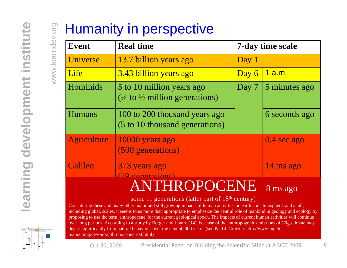| <b>Event</b>   | <b>Real time</b>                                                                  | 7-day time scale |               |
|----------------|-----------------------------------------------------------------------------------|------------------|---------------|
| Universe       | 13.7 billion years ago                                                            | Day 1            |               |
| Life           | 3.43 billion years ago                                                            | Day 6            | <u>1 a.m.</u> |
| Hominids       | 5 to 10 million years ago<br>$(\frac{1}{4}$ to $\frac{1}{2}$ million generations) | Day 7            | 5 minutes ago |
| <b>Humans</b>  | 100 to 200 thousand years ago<br>(5 to 10 thousand generations)                   |                  | 6 seconds ago |
| Agriculture    | 10000 years ago<br>(500 generations)                                              |                  | $0.4$ sec ago |
| <b>Galileo</b> | 373 years ago<br>(10 generational                                                 |                  | 14 ms ago     |
|                | ANTHROPOCENE                                                                      |                  | 8 ms ago      |

proposing to use the term 'anthropocene' for the current geological epoch. The impacts of current human activities will continue<br>over long periods. According to a study by Berger and Loutre (14), because of the anthropogan including global, scales, it seems to us more than appropriate to emphasize the central role of mankind in geology and ecology by depart significantly from natural behaviour over the next 50,000 years. (see Paul J. Crutzen: http://www.mpchproposing to use the term 'anthropocene' for the current geological epoch. The impacts of current human activities will continue<br>over long periods. According to a study by Berger and Loutre (14), because of the anthropoge mainz.mpg.de/~air/anthropocene/Text.html)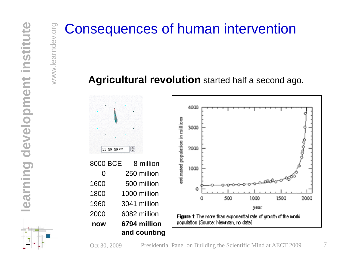# and **Consequences of human intervention**<br>
<br> **Example 2018<br>
Agricultural revolution** started half a second ag

#### **≸** Agricultural revolution started half a second ago.

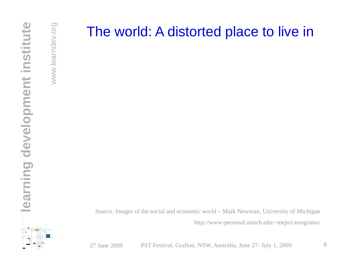#### The world: A distorted place to live in

**ning learned**<br>
Source: Images of the social and economic world – Mark Newman, University of Michigan<br>
Source: Images of the social and economic world – Mark Newman, University of Michigan http://www-personal.umich.edu/~mejn/cartograms/

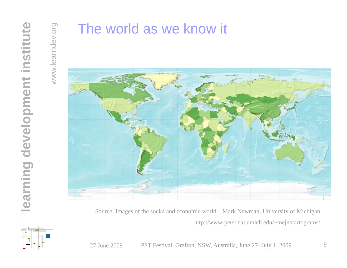#### The world as we know it



http://www-personal.umich.edu/~mejn/cartograms/

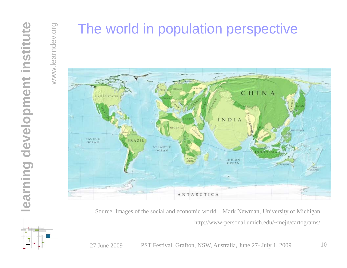#### The world in population perspective



http://www-personal.umich.edu/~mejn/cartograms/

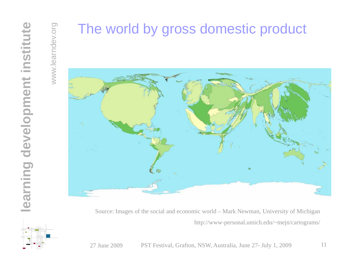#### The world by gross domestic product



http://www-personal.umich.edu/~mejn/cartograms/

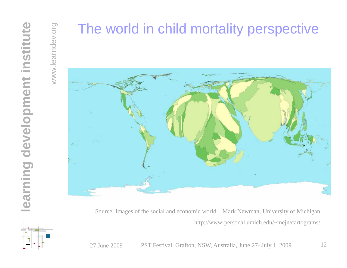#### The world in child mortality perspective



http://www-personal.umich.edu/~mejn/cartograms/

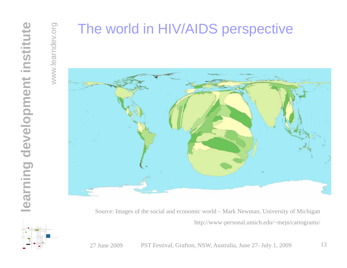#### The world in HIV/AIDS perspective



http://www-personal.umich.edu/~mejn/cartograms/

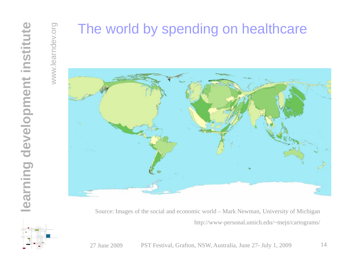### The world by spending on healthcare



http://www-personal.umich.edu/~mejn/cartograms/

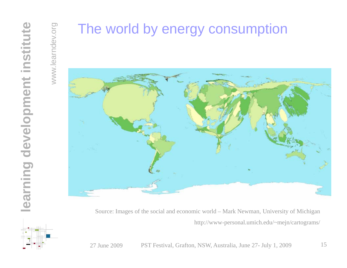#### The world by energy consumption



http://www-personal.umich.edu/~mejn/cartograms/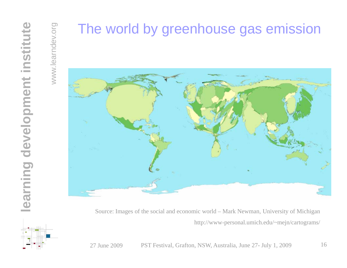### The world by greenhouse gas emission



http://www-personal.umich.edu/~mejn/cartograms/

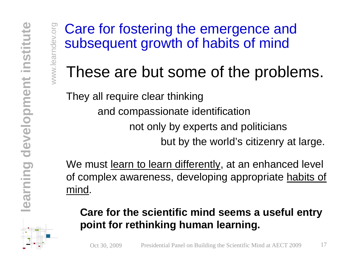Care for fostering the emergence and quent growth of habits of mind

### These are but some of the problems.

They all require clear thinking

and com passionate identification

not only by experts and politicians<br>but by the world's citizenry at large.

**ning decompt We must <u>learn to learn differently</u>**, at an enhanced level<br>of complex awareness, developing appropriate habits of<br>mind.

#### **Care for the scientific mind seems a useful entry point for rethinking human learning.**

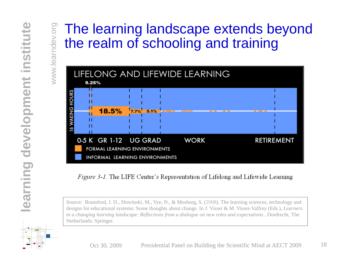#### The learning landscape extends beyond g and trainin g



*in a changing learning landscape: Reflections from a dialogue on new roles and expectations . Dordrecht, The* Netherlands: Springer.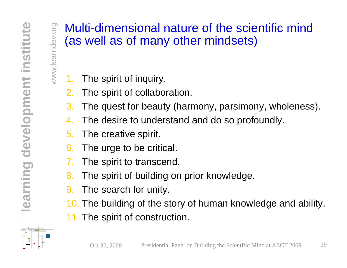## Multi-dimensional nature of the scientific mind<br>(as well as of many other mindsets)

- $\leqslant$  1. The spirit of inquiry.
	- 2.The spirit of collaboration.
	- 3. The quest for beauty (harmony, parsimony, wholeness).
	- 44. The desire to understand and do so profoundly.
	- 5. The creative spirit.
	- The urge to be critical.
	-
- **11.** The spirit to transcend.<br> **12.** The spirit of building on prior knowledge.<br> **12.** The search for unity.<br> **12.** The building of the story of human knowl
	-
	- 10. The building of the story of human knowledge and ability.
	- 11. The spirit of construction.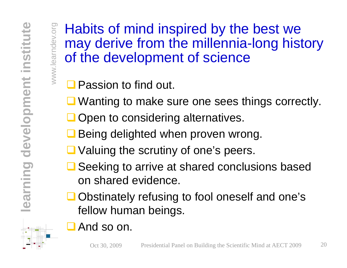www.learndev.org

 $\frac{1}{2}$  Habits of mind inspired by the best we<br> $\frac{1}{2}$  may derive from the millennia-long history of the development of science

 $\Box$  Passion to find out.

■ Wanting to make sure one sees things correctly.

 $\Box$  Open to considering alternatives.

**develops and Service Services**<br> **a** Being delighted when proven wrong<br> **a** Valuing the scrutiny of one's peers. **Q** Being delighted when proven wrong.

Seeking to arrive at shared conclusions based on sharedevidence.

**learnal conducts**<br> **learnal conducts**<br> **learnal conducts**<br> **learnal follow buman being** ■ Obstinately refusing to fool oneself and one's fellow human beings.

**And so on.**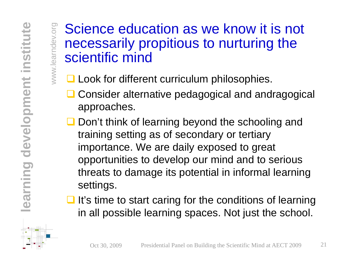# ndev.org Science education as we know it is not necessaril y pro pitious to nurturin g the www.learnyp <sup>p</sup> <sup>g</sup> scientific mind

- $\leq$   $\Box$  Look for different curriculum philosophies.
	- **Q** Consider alternative pedagogical and andragogical approaches.
- **Q** Don't think of learning beyond the schooling and training setting as of secondary or tertiary importance. We are daily exposed to great **ning develop our mind and to serious**<br>threats to damage its potential in informal learning<br>settings.<br>and it's time to start caring for the conditions of learning
- **learnal**<br> **learnal contract**<br> **learnal contract**<br> **learnal contract**<br> **learnal contract**  $\Box$  It's time to start caring for the conditions of learning in all possible learning spaces. Not just the school.